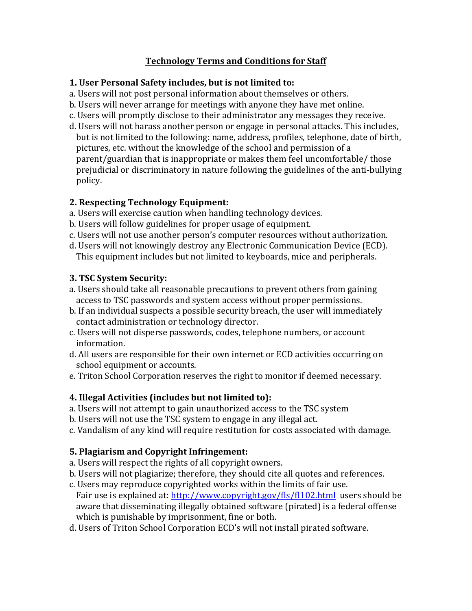# **Technology Terms and Conditions for Staff**

### **1. User Personal Safety includes, but is not limited to:**

- a. Users will not post personal information about themselves or others.
- b. Users will never arrange for meetings with anyone they have met online.
- c. Users will promptly disclose to their administrator any messages they receive.
- d. Users will not harass another person or engage in personal attacks. This includes, but is not limited to the following: name, address, profiles, telephone, date of birth, pictures, etc. without the knowledge of the school and permission of a parent/guardian that is inappropriate or makes them feel uncomfortable/ those prejudicial or discriminatory in nature following the guidelines of the anti-bullying policy.

# **2. Respecting Technology Equipment:**

- a. Users will exercise caution when handling technology devices.
- b. Users will follow guidelines for proper usage of equipment.
- c. Users will not use another person's computer resources without authorization.
- d. Users will not knowingly destroy any Electronic Communication Device (ECD). This equipment includes but not limited to keyboards, mice and peripherals.

# **3. TSC System Security:**

- a. Users should take all reasonable precautions to prevent others from gaining access to TSC passwords and system access without proper permissions.
- b. If an individual suspects a possible security breach, the user will immediately contact administration or technology director.
- c. Users will not disperse passwords, codes, telephone numbers, or account information.
- d. All users are responsible for their own internet or ECD activities occurring on school equipment or accounts.
- e. Triton School Corporation reserves the right to monitor if deemed necessary.

# **4. Illegal Activities (includes but not limited to):**

- a. Users will not attempt to gain unauthorized access to the TSC system
- b. Users will not use the TSC system to engage in any illegal act.
- c. Vandalism of any kind will require restitution for costs associated with damage.

# **5. Plagiarism and Copyright Infringement:**

- a. Users will respect the rights of all copyright owners.
- b. Users will not plagiarize; therefore, they should cite all quotes and references.
- c. Users may reproduce copyrighted works within the limits of fair use. Fair use is explained at: http://www.copyright.gov/fls/fl102.html users should be aware that disseminating illegally obtained software (pirated) is a federal offense which is punishable by imprisonment, fine or both.
- d. Users of Triton School Corporation ECD's will not install pirated software.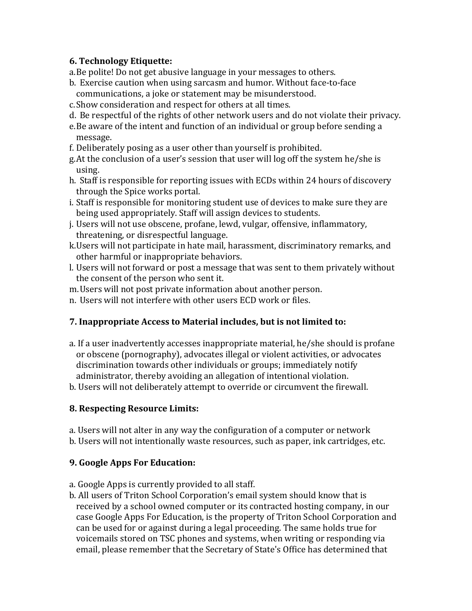## **6. Technology Etiquette:**

a. Be polite! Do not get abusive language in your messages to others.

- b. Exercise caution when using sarcasm and humor. Without face-to-face communications, a joke or statement may be misunderstood.
- c. Show consideration and respect for others at all times.
- d. Be respectful of the rights of other network users and do not violate their privacy.
- e. Be aware of the intent and function of an individual or group before sending a message.
- f. Deliberately posing as a user other than yourself is prohibited.
- g. At the conclusion of a user's session that user will log off the system he/she is using.
- h. Staff is responsible for reporting issues with ECDs within 24 hours of discovery through the Spice works portal.
- i. Staff is responsible for monitoring student use of devices to make sure they are being used appropriately. Staff will assign devices to students.
- j. Users will not use obscene, profane, lewd, vulgar, offensive, inflammatory, threatening, or disrespectful language.
- k. Users will not participate in hate mail, harassment, discriminatory remarks, and other harmful or inappropriate behaviors.
- l. Users will not forward or post a message that was sent to them privately without the consent of the person who sent it.
- m. Users will not post private information about another person.
- n. Users will not interfere with other users ECD work or files.

### **7. Inappropriate Access to Material includes, but is not limited to:**

- a. If a user inadvertently accesses inappropriate material, he/she should is profane or obscene (pornography), advocates illegal or violent activities, or advocates discrimination towards other individuals or groups; immediately notify administrator, thereby avoiding an allegation of intentional violation.
- b. Users will not deliberately attempt to override or circumvent the firewall.

### **8. Respecting Resource Limits:**

- a. Users will not alter in any way the configuration of a computer or network
- b. Users will not intentionally waste resources, such as paper, ink cartridges, etc.

# **9. Google Apps For Education:**

- a. Google Apps is currently provided to all staff.
- b. All users of Triton School Corporation's email system should know that is received by a school owned computer or its contracted hosting company, in our case Google Apps For Education, is the property of Triton School Corporation and can be used for or against during a legal proceeding. The same holds true for voicemails stored on TSC phones and systems, when writing or responding via email, please remember that the Secretary of State's Office has determined that